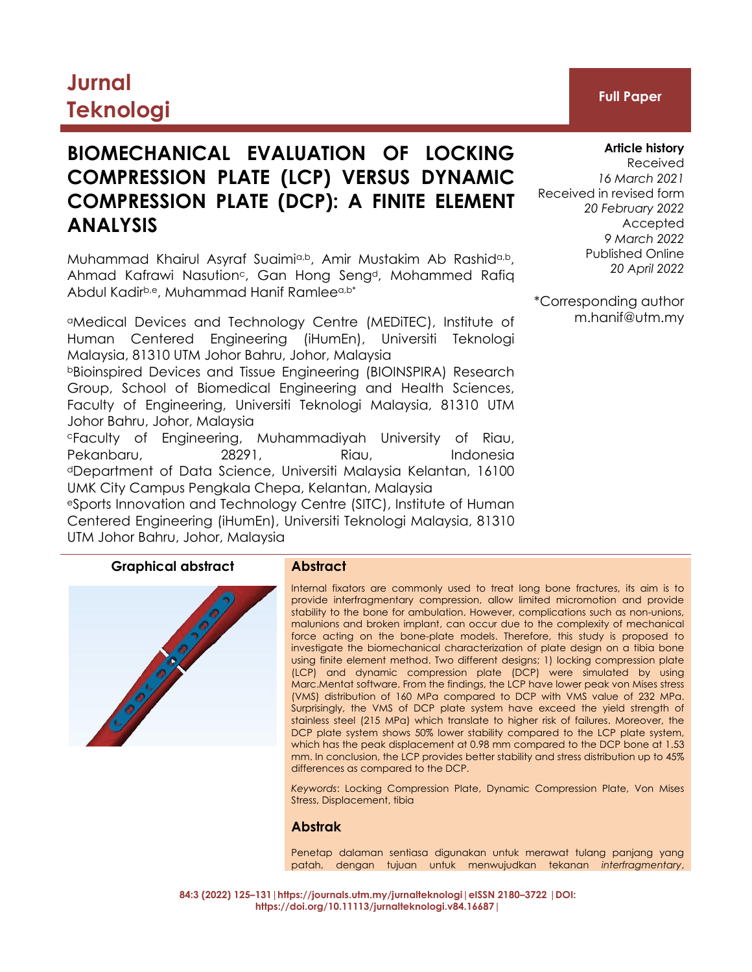# **Jurnal Teknologi Full Paper**

# **BIOMECHANICAL EVALUATION OF LOCKING COMPRESSION PLATE (LCP) VERSUS DYNAMIC COMPRESSION PLATE (DCP): A FINITE ELEMENT ANALYSIS**

Muhammad Khairul Asyraf Suaimia,b, Amir Mustakim Ab Rashida,b, Ahmad Kafrawi Nasution<sup>c</sup>, Gan Hong Seng<sup>d</sup>, Mohammed Rafiq Abdul Kadirb,e, Muhammad Hanif Ramleea,b\*

<sup>a</sup>Medical Devices and Technology Centre (MEDiTEC), Institute of Human Centered Engineering (iHumEn), Universiti Teknologi Malaysia, 81310 UTM Johor Bahru, Johor, Malaysia

<sup>b</sup>Bioinspired Devices and Tissue Engineering (BIOINSPIRA) Research Group, School of Biomedical Engineering and Health Sciences, Faculty of Engineering, Universiti Teknologi Malaysia, 81310 UTM Johor Bahru, Johor, Malaysia

<sup>c</sup>Faculty of Engineering, Muhammadiyah University of Riau, Pekanbaru, 28291, Riau, Indonesia <sup>d</sup>Department of Data Science, Universiti Malaysia Kelantan, 16100 UMK City Campus Pengkala Chepa, Kelantan, Malaysia

<sup>e</sup>Sports Innovation and Technology Centre (SITC), Institute of Human Centered Engineering (iHumEn), Universiti Teknologi Malaysia, 81310 UTM Johor Bahru, Johor, Malaysia

# **Graphical abstract Abstract**

Internal fixators are commonly used to treat long bone fractures, its aim is to provide interfragmentary compression, allow limited micromotion and provide stability to the bone for ambulation. However, complications such as non-unions, malunions and broken implant, can occur due to the complexity of mechanical force acting on the bone-plate models. Therefore, this study is proposed to investigate the biomechanical characterization of plate design on a tibia bone using finite element method. Two different designs; 1) locking compression plate (LCP) and dynamic compression plate (DCP) were simulated by using Marc.Mentat software. From the findings, the LCP have lower peak von Mises stress (VMS) distribution of 160 MPa compared to DCP with VMS value of 232 MPa. Surprisingly, the VMS of DCP plate system have exceed the yield strength of stainless steel (215 MPa) which translate to higher risk of failures. Moreover, the DCP plate system shows 50% lower stability compared to the LCP plate system, which has the peak displacement at 0.98 mm compared to the DCP bone at 1.53 mm. In conclusion, the LCP provides better stability and stress distribution up to 45% differences as compared to the DCP.

*Keywords*: Locking Compression Plate, Dynamic Compression Plate, Von Mises Stress, Displacement, tibia

# **Abstrak**

Penetap dalaman sentiasa digunakan untuk merawat tulang panjang yang patah, dengan tujuan untuk menwujudkan tekanan *interfragmentary*,

## **Article history**

Received *16 March 2021* Received in revised form *20 February 2022* Accepted *9 March 2022* Published Online *20 April 2022*

\*Corresponding author m.hanif@utm.my

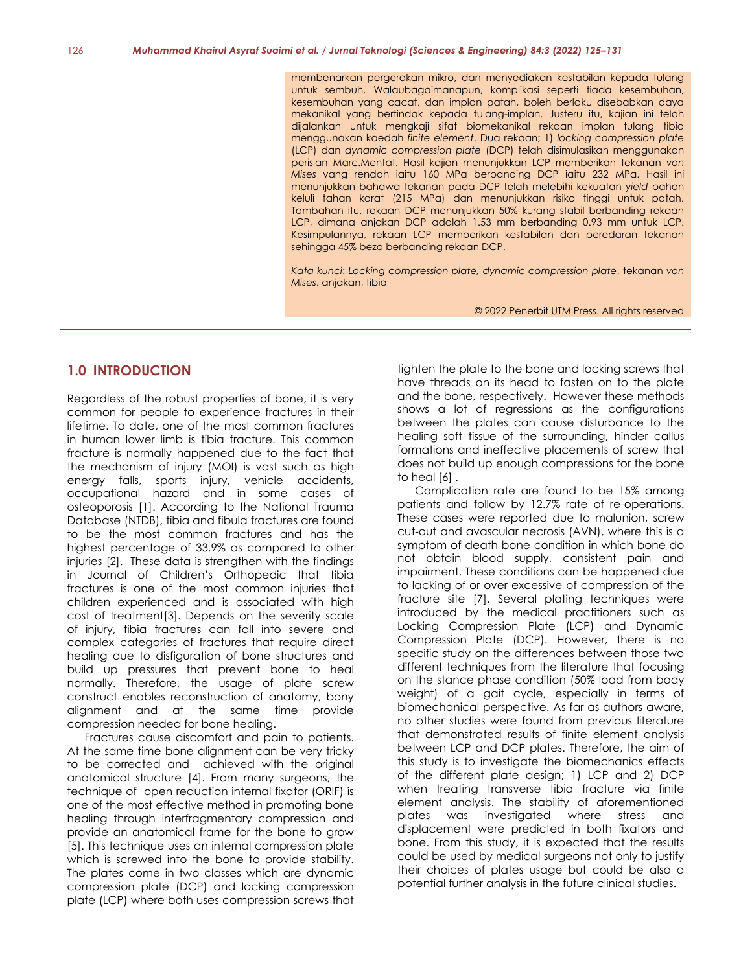membenarkan pergerakan mikro, dan menyediakan kestabilan kepada tulang untuk sembuh. Walaubagaimanapun, komplikasi seperti tiada kesembuhan, kesembuhan yang cacat, dan implan patah, boleh berlaku disebabkan daya mekanikal yang bertindak kepada tulang-implan. Justeru itu, kajian ini telah dijalankan untuk mengkaji sifat biomekanikal rekaan implan tulang tibia menggunakan kaedah *finite element*. Dua rekaan; 1) *locking compression plate* (LCP) dan *dynamic compression plate* (DCP) telah disimulasikan menggunakan perisian Marc.Mentat. Hasil kajian menunjukkan LCP memberikan tekanan *von Mises* yang rendah iaitu 160 MPa berbanding DCP iaitu 232 MPa. Hasil ini menunjukkan bahawa tekanan pada DCP telah melebihi kekuatan *yield* bahan keluli tahan karat (215 MPa) dan menunjukkan risiko tinggi untuk patah. Tambahan itu, rekaan DCP menunjukkan 50% kurang stabil berbanding rekaan LCP, dimana anjakan DCP adalah 1.53 mm berbanding 0.93 mm untuk LCP. Kesimpulannya, rekaan LCP memberikan kestabilan dan peredaran tekanan sehingga 45% beza berbanding rekaan DCP.

*Kata kunci*: *Locking compression plate, dynamic compression plate*, tekanan *von Mises*, anjakan, tibia

© 2022 Penerbit UTM Press. All rights reserved

# **1.0 INTRODUCTION**

Regardless of the robust properties of bone, it is very common for people to experience fractures in their lifetime. To date, one of the most common fractures in human lower limb is tibia fracture. This common fracture is normally happened due to the fact that the mechanism of injury (MOI) is vast such as high energy falls, sports injury, vehicle accidents, occupational hazard and in some cases of osteoporosis [1]. According to the National Trauma Database (NTDB), tibia and fibula fractures are found to be the most common fractures and has the highest percentage of 33.9% as compared to other injuries [2]. These data is strengthen with the findings in Journal of Children's Orthopedic that tibia fractures is one of the most common injuries that children experienced and is associated with high cost of treatment[3]. Depends on the severity scale of injury, tibia fractures can fall into severe and complex categories of fractures that require direct healing due to disfiguration of bone structures and build up pressures that prevent bone to heal normally. Therefore, the usage of plate screw construct enables reconstruction of anatomy, bony alignment and at the same time provide compression needed for bone healing.

Fractures cause discomfort and pain to patients. At the same time bone alignment can be very tricky to be corrected and achieved with the original anatomical structure [4]. From many surgeons, the technique of open reduction internal fixator (ORIF) is one of the most effective method in promoting bone healing through interfragmentary compression and provide an anatomical frame for the bone to grow [5]. This technique uses an internal compression plate which is screwed into the bone to provide stability. The plates come in two classes which are dynamic compression plate (DCP) and locking compression plate (LCP) where both uses compression screws that

tighten the plate to the bone and locking screws that have threads on its head to fasten on to the plate and the bone, respectively. However these methods shows a lot of regressions as the configurations between the plates can cause disturbance to the healing soft tissue of the surrounding, hinder callus formations and ineffective placements of screw that does not build up enough compressions for the bone to heal [6] .

Complication rate are found to be 15% among patients and follow by 12.7% rate of re-operations. These cases were reported due to malunion, screw cut-out and avascular necrosis (AVN), where this is a symptom of death bone condition in which bone do not obtain blood supply, consistent pain and impairment. These conditions can be happened due to lacking of or over excessive of compression of the fracture site [7]. Several plating techniques were introduced by the medical practitioners such as Locking Compression Plate (LCP) and Dynamic Compression Plate (DCP). However, there is no specific study on the differences between those two different techniques from the literature that focusing on the stance phase condition (50% load from body weight) of a gait cycle, especially in terms of biomechanical perspective. As far as authors aware, no other studies were found from previous literature that demonstrated results of finite element analysis between LCP and DCP plates. Therefore, the aim of this study is to investigate the biomechanics effects of the different plate design; 1) LCP and 2) DCP when treating transverse tibia fracture via finite element analysis. The stability of aforementioned plates was investigated where stress and displacement were predicted in both fixators and bone. From this study, it is expected that the results could be used by medical surgeons not only to justify their choices of plates usage but could be also a potential further analysis in the future clinical studies.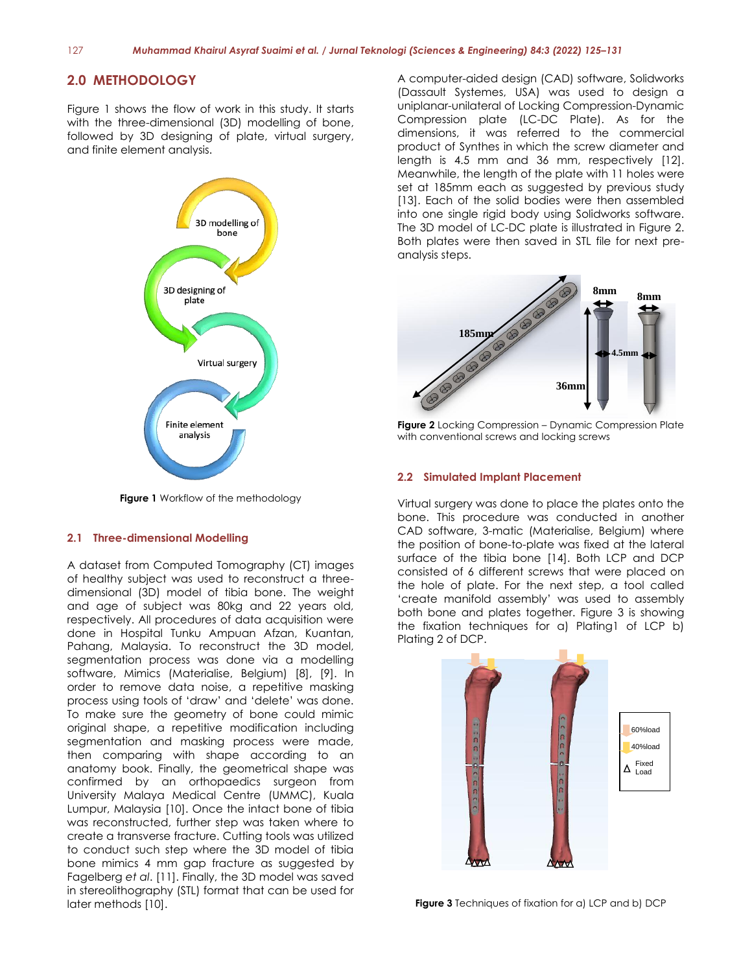# **2.0 METHODOLOGY**

Figure 1 shows the flow of work in this study. It starts with the three-dimensional (3D) modelling of bone, followed by 3D designing of plate, virtual surgery, and finite element analysis.



**Figure 1** Workflow of the methodology

#### **2.1 Three-dimensional Modelling**

A dataset from Computed Tomography (CT) images of healthy subject was used to reconstruct a threedimensional (3D) model of tibia bone. The weight and age of subject was 80kg and 22 years old, respectively. All procedures of data acquisition were done in Hospital Tunku Ampuan Afzan, Kuantan, Pahang, Malaysia. To reconstruct the 3D model, segmentation process was done via a modelling software, Mimics (Materialise, Belgium) [8], [9]. In order to remove data noise, a repetitive masking process using tools of 'draw' and 'delete' was done. To make sure the geometry of bone could mimic original shape, a repetitive modification including segmentation and masking process were made, then comparing with shape according to an anatomy book. Finally, the geometrical shape was confirmed by an orthopaedics surgeon from University Malaya Medical Centre (UMMC), Kuala Lumpur, Malaysia [10]. Once the intact bone of tibia was reconstructed, further step was taken where to create a transverse fracture. Cutting tools was utilized to conduct such step where the 3D model of tibia bone mimics 4 mm gap fracture as suggested by Fagelberg *et al*. [11]. Finally, the 3D model was saved in stereolithography (STL) format that can be used for later methods [10].

A computer-aided design (CAD) software, Solidworks (Dassault Systemes, USA) was used to design a uniplanar-unilateral of Locking Compression-Dynamic Compression plate (LC-DC Plate). As for the dimensions, it was referred to the commercial product of Synthes in which the screw diameter and length is 4.5 mm and 36 mm, respectively [12]. Meanwhile, the length of the plate with 11 holes were set at 185mm each as suggested by previous study [13]. Each of the solid bodies were then assembled into one single rigid body using Solidworks software. The 3D model of LC-DC plate is illustrated in Figure 2. Both plates were then saved in STL file for next preanalysis steps.



**Figure 2** Locking Compression – Dynamic Compression Plate with conventional screws and locking screws

#### **2.2 Simulated Implant Placement**

Virtual surgery was done to place the plates onto the bone. This procedure was conducted in another CAD software, 3-matic (Materialise, Belgium) where the position of bone-to-plate was fixed at the lateral surface of the tibia bone [14]. Both LCP and DCP consisted of 6 different screws that were placed on the hole of plate. For the next step, a tool called 'create manifold assembly' was used to assembly both bone and plates together. Figure 3 is showing the fixation techniques for a) Plating1 of LCP b) Plating 2 of DCP.



**Figure 3** Techniques of fixation for a) LCP and b) DCP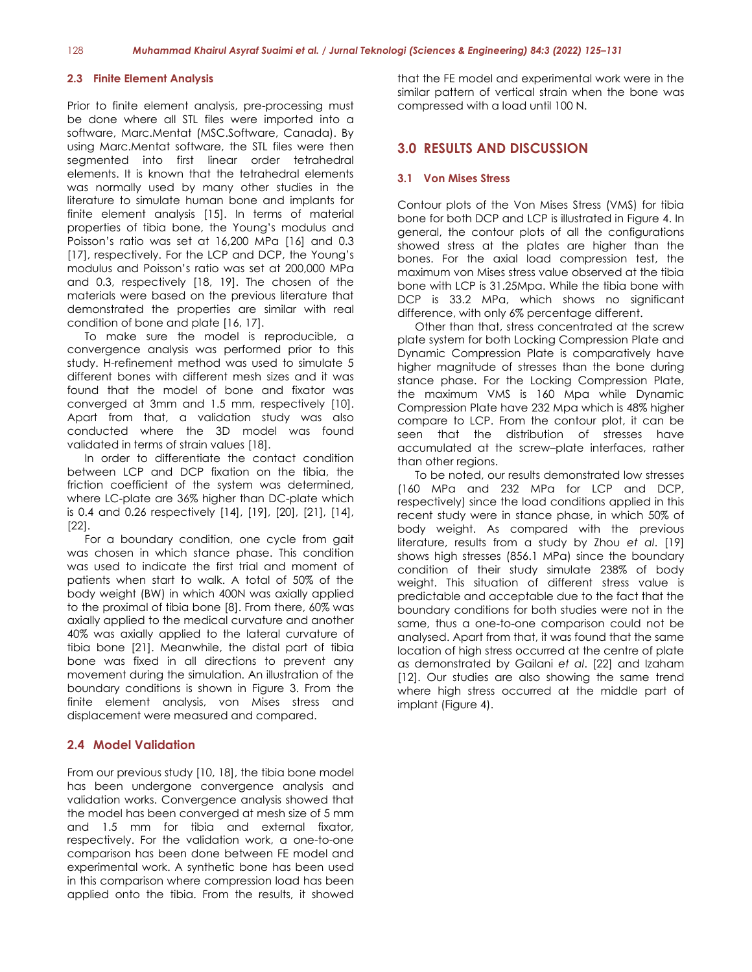#### **2.3 Finite Element Analysis**

Prior to finite element analysis, pre-processing must be done where all STL files were imported into a software, Marc.Mentat (MSC.Software, Canada). By using Marc.Mentat software, the STL files were then segmented into first linear order tetrahedral elements. It is known that the tetrahedral elements was normally used by many other studies in the literature to simulate human bone and implants for finite element analysis [15]. In terms of material properties of tibia bone, the Young's modulus and Poisson's ratio was set at 16,200 MPa [16] and 0.3 [17], respectively. For the LCP and DCP, the Young's modulus and Poisson's ratio was set at 200,000 MPa and 0.3, respectively [18, 19]. The chosen of the materials were based on the previous literature that demonstrated the properties are similar with real condition of bone and plate [16, 17].

To make sure the model is reproducible, a convergence analysis was performed prior to this study. H-refinement method was used to simulate 5 different bones with different mesh sizes and it was found that the model of bone and fixator was converged at 3mm and 1.5 mm, respectively [10]. Apart from that, a validation study was also conducted where the 3D model was found validated in terms of strain values [18].

In order to differentiate the contact condition between LCP and DCP fixation on the tibia, the friction coefficient of the system was determined, where LC-plate are 36% higher than DC-plate which is 0.4 and 0.26 respectively [14], [19], [20], [21], [14], [22].

For a boundary condition, one cycle from gait was chosen in which stance phase. This condition was used to indicate the first trial and moment of patients when start to walk. A total of 50% of the body weight (BW) in which 400N was axially applied to the proximal of tibia bone [8]. From there, 60% was axially applied to the medical curvature and another 40% was axially applied to the lateral curvature of tibia bone [21]. Meanwhile, the distal part of tibia bone was fixed in all directions to prevent any movement during the simulation. An illustration of the boundary conditions is shown in Figure 3. From the finite element analysis, von Mises stress and displacement were measured and compared.

#### **2.4 Model Validation**

From our previous study [10, 18], the tibia bone model has been undergone convergence analysis and validation works. Convergence analysis showed that the model has been converged at mesh size of 5 mm and 1.5 mm for tibia and external fixator, respectively. For the validation work, a one-to-one comparison has been done between FE model and experimental work. A synthetic bone has been used in this comparison where compression load has been applied onto the tibia. From the results, it showed

that the FE model and experimental work were in the similar pattern of vertical strain when the bone was compressed with a load until 100 N.

# **3.0 RESULTS AND DISCUSSION**

#### **3.1 Von Mises Stress**

Contour plots of the Von Mises Stress (VMS) for tibia bone for both DCP and LCP is illustrated in Figure 4. In general, the contour plots of all the configurations showed stress at the plates are higher than the bones. For the axial load compression test, the maximum von Mises stress value observed at the tibia bone with LCP is 31.25Mpa. While the tibia bone with DCP is 33.2 MPa, which shows no significant difference, with only 6% percentage different.

Other than that, stress concentrated at the screw plate system for both Locking Compression Plate and Dynamic Compression Plate is comparatively have higher magnitude of stresses than the bone during stance phase. For the Locking Compression Plate, the maximum VMS is 160 Mpa while Dynamic Compression Plate have 232 Mpa which is 48% higher compare to LCP. From the contour plot, it can be seen that the distribution of stresses have accumulated at the screw–plate interfaces, rather than other regions.

To be noted, our results demonstrated low stresses (160 MPa and 232 MPa for LCP and DCP, respectively) since the load conditions applied in this recent study were in stance phase, in which 50% of body weight. As compared with the previous literature, results from a study by Zhou *et al*. [19] shows high stresses (856.1 MPa) since the boundary condition of their study simulate 238% of body weight. This situation of different stress value is predictable and acceptable due to the fact that the boundary conditions for both studies were not in the same, thus a one-to-one comparison could not be analysed. Apart from that, it was found that the same location of high stress occurred at the centre of plate as demonstrated by Gailani *et al*. [22] and Izaham [12]. Our studies are also showing the same trend where high stress occurred at the middle part of implant (Figure 4).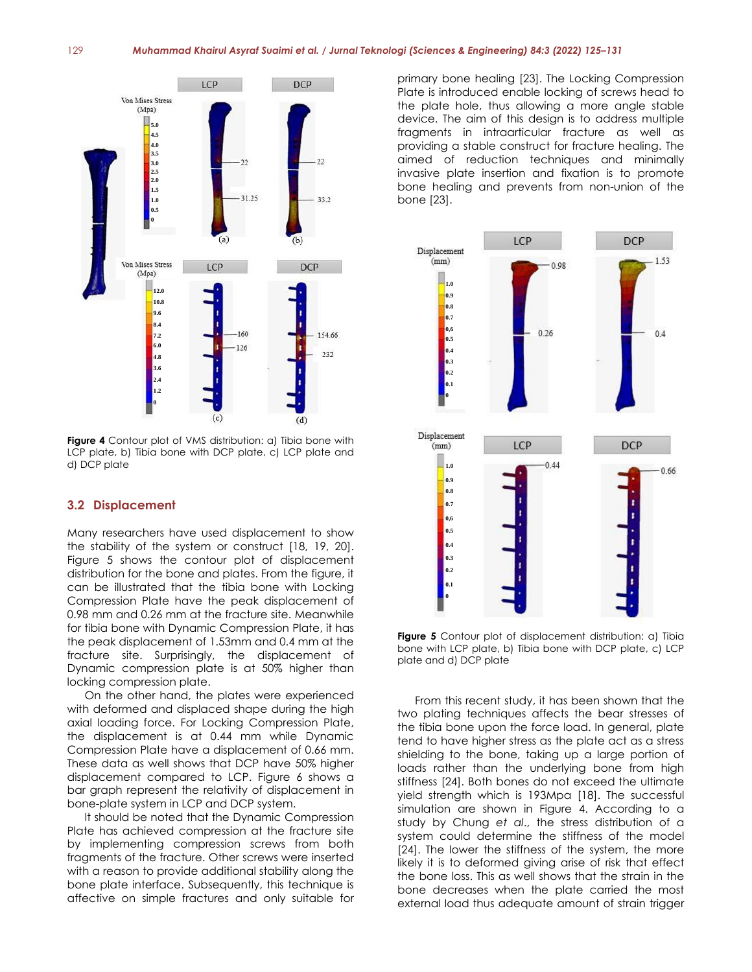

**Figure 4** Contour plot of VMS distribution: a) Tibia bone with LCP plate, b) Tibia bone with DCP plate, c) LCP plate and d) DCP plate

### **3.2 Displacement**

Many researchers have used displacement to show the stability of the system or construct [18, 19, 20]. Figure 5 shows the contour plot of displacement distribution for the bone and plates. From the figure, it can be illustrated that the tibia bone with Locking Compression Plate have the peak displacement of 0.98 mm and 0.26 mm at the fracture site. Meanwhile for tibia bone with Dynamic Compression Plate, it has the peak displacement of 1.53mm and 0.4 mm at the fracture site. Surprisingly, the displacement of Dynamic compression plate is at 50% higher than locking compression plate.

On the other hand, the plates were experienced with deformed and displaced shape during the high axial loading force. For Locking Compression Plate, the displacement is at 0.44 mm while Dynamic Compression Plate have a displacement of 0.66 mm. These data as well shows that DCP have 50% higher displacement compared to LCP. Figure 6 shows a bar graph represent the relativity of displacement in bone-plate system in LCP and DCP system.

It should be noted that the Dynamic Compression Plate has achieved compression at the fracture site by implementing compression screws from both fragments of the fracture. Other screws were inserted with a reason to provide additional stability along the bone plate interface. Subsequently, this technique is affective on simple fractures and only suitable for

primary bone healing [23]. The Locking Compression Plate is introduced enable locking of screws head to the plate hole, thus allowing a more angle stable device. The aim of this design is to address multiple fragments in intraarticular fracture as well as providing a stable construct for fracture healing. The aimed of reduction techniques and minimally invasive plate insertion and fixation is to promote bone healing and prevents from non-union of the bone [23].



**Figure 5** Contour plot of displacement distribution: a) Tibia bone with LCP plate, b) Tibia bone with DCP plate, c) LCP plate and d) DCP plate

From this recent study, it has been shown that the two plating techniques affects the bear stresses of the tibia bone upon the force load. In general, plate tend to have higher stress as the plate act as a stress shielding to the bone, taking up a large portion of loads rather than the underlying bone from high stiffness [24]. Both bones do not exceed the ultimate yield strength which is 193Mpa [18]. The successful simulation are shown in Figure 4. According to a study by Chung *et al*., the stress distribution of a system could determine the stiffness of the model [24]. The lower the stiffness of the system, the more likely it is to deformed giving arise of risk that effect the bone loss. This as well shows that the strain in the bone decreases when the plate carried the most external load thus adequate amount of strain trigger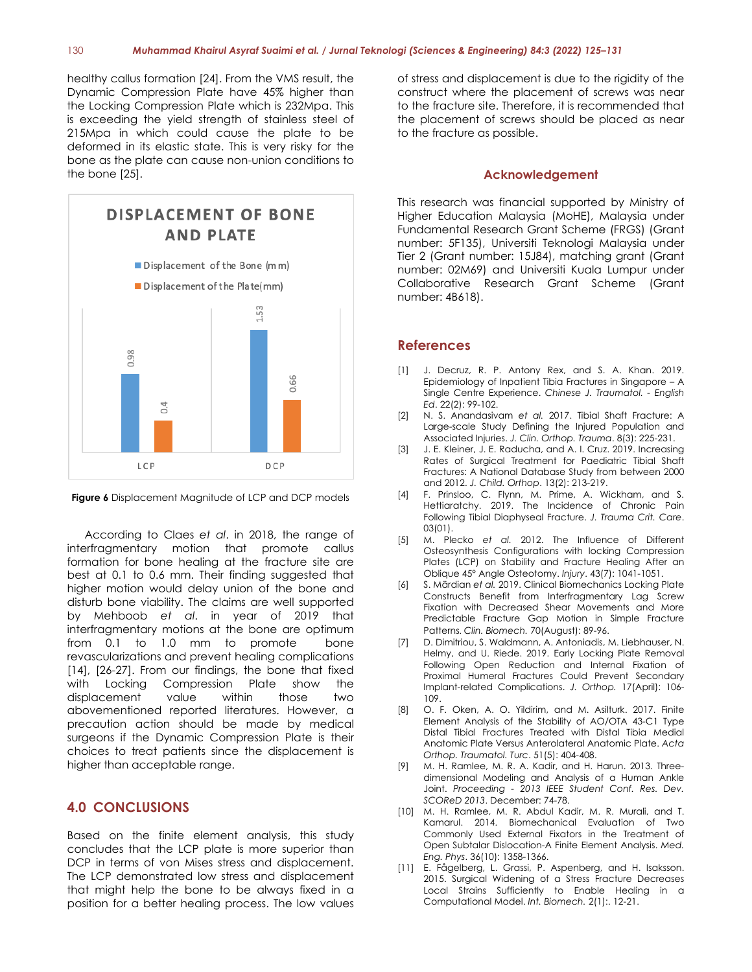healthy callus formation [24]. From the VMS result, the Dynamic Compression Plate have 45% higher than the Locking Compression Plate which is 232Mpa. This is exceeding the yield strength of stainless steel of 215Mpa in which could cause the plate to be deformed in its elastic state. This is very risky for the bone as the plate can cause non-union conditions to the bone [25].





According to Claes *et al*. in 2018, the range of interfragmentary motion that promote callus formation for bone healing at the fracture site are best at 0.1 to 0.6 mm. Their finding suggested that higher motion would delay union of the bone and disturb bone viability. The claims are well supported by Mehboob *et al*. in year of 2019 that interfragmentary motions at the bone are optimum from 0.1 to 1.0 mm to promote bone revascularizations and prevent healing complications [14], [26-27]. From our findings, the bone that fixed with Locking Compression Plate show the displacement value within those two abovementioned reported literatures. However, a precaution action should be made by medical surgeons if the Dynamic Compression Plate is their choices to treat patients since the displacement is higher than acceptable range.

### **4.0 CONCLUSIONS**

Based on the finite element analysis, this study concludes that the LCP plate is more superior than DCP in terms of von Mises stress and displacement. The LCP demonstrated low stress and displacement that might help the bone to be always fixed in a position for a better healing process. The low values

of stress and displacement is due to the rigidity of the construct where the placement of screws was near to the fracture site. Therefore, it is recommended that the placement of screws should be placed as near to the fracture as possible.

### **Acknowledgement**

This research was financial supported by Ministry of Higher Education Malaysia (MoHE), Malaysia under Fundamental Research Grant Scheme (FRGS) (Grant number: 5F135), Universiti Teknologi Malaysia under Tier 2 (Grant number: 15J84), matching grant (Grant number: 02M69) and Universiti Kuala Lumpur under Collaborative Research Grant Scheme (Grant number: 4B618).

### **References**

- [1] J. Decruz, R. P. Antony Rex, and S. A. Khan. 2019. Epidemiology of Inpatient Tibia Fractures in Singapore – A Single Centre Experience. *Chinese J. Traumatol. - English Ed*. 22(2): 99-102.
- [2] N. S. Anandasivam *et al.* 2017. Tibial Shaft Fracture: A Large-scale Study Defining the Injured Population and Associated Injuries. *J. Clin. Orthop. Trauma*. 8(3): 225-231.
- [3] J. E. Kleiner, J. E. Raducha, and A. I. Cruz. 2019. Increasing Rates of Surgical Treatment for Paediatric Tibial Shaft Fractures: A National Database Study from between 2000 and 2012. *J. Child. Orthop*. 13(2): 213-219.
- [4] F. Prinsloo, C. Flynn, M. Prime, A. Wickham, and S. Hettiaratchy. 2019. The Incidence of Chronic Pain Following Tibial Diaphyseal Fracture. *J. Trauma Crit. Care*. 03(01).
- [5] M. Plecko *et al.* 2012. The Influence of Different Osteosynthesis Configurations with locking Compression Plates (LCP) on Stability and Fracture Healing After an Oblique 45° Angle Osteotomy. *Injury*. 43(7): 1041-1051.
- [6] S. Märdian *et al.* 2019. Clinical Biomechanics Locking Plate Constructs Benefit from Interfragmentary Lag Screw Fixation with Decreased Shear Movements and More Predictable Fracture Gap Motion in Simple Fracture Patterns. *Clin. Biomech.* 70(August): 89-96.
- [7] D. Dimitriou, S. Waldmann, A. Antoniadis, M. Liebhauser, N. Helmy, and U. Riede. 2019. Early Locking Plate Removal Following Open Reduction and Internal Fixation of Proximal Humeral Fractures Could Prevent Secondary Implant-related Complications. *J. Orthop.* 17(April): 106- 109.
- [8] O. F. Oken, A. O. Yildirim, and M. Asilturk. 2017. Finite Element Analysis of the Stability of AO/OTA 43-C1 Type Distal Tibial Fractures Treated with Distal Tibia Medial Anatomic Plate Versus Anterolateral Anatomic Plate. *Acta Orthop. Traumatol. Turc*. 51(5): 404-408.
- [9] M. H. Ramlee, M. R. A. Kadir, and H. Harun. 2013. Threedimensional Modeling and Analysis of a Human Ankle Joint. *Proceeding - 2013 IEEE Student Conf. Res. Dev. SCOReD 2013*. December: 74-78.
- [10] M. H. Ramlee, M. R. Abdul Kadir, M. R. Murali, and T. Kamarul. 2014. Biomechanical Evaluation of Two Commonly Used External Fixators in the Treatment of Open Subtalar Dislocation-A Finite Element Analysis. *Med. Eng. Phys*. 36(10): 1358-1366.
- [11] E. Fågelberg, L. Grassi, P. Aspenberg, and H. Isaksson. 2015. Surgical Widening of a Stress Fracture Decreases Local Strains Sufficiently to Enable Healing in a Computational Model. *Int. Biomech.* 2(1):. 12-21.